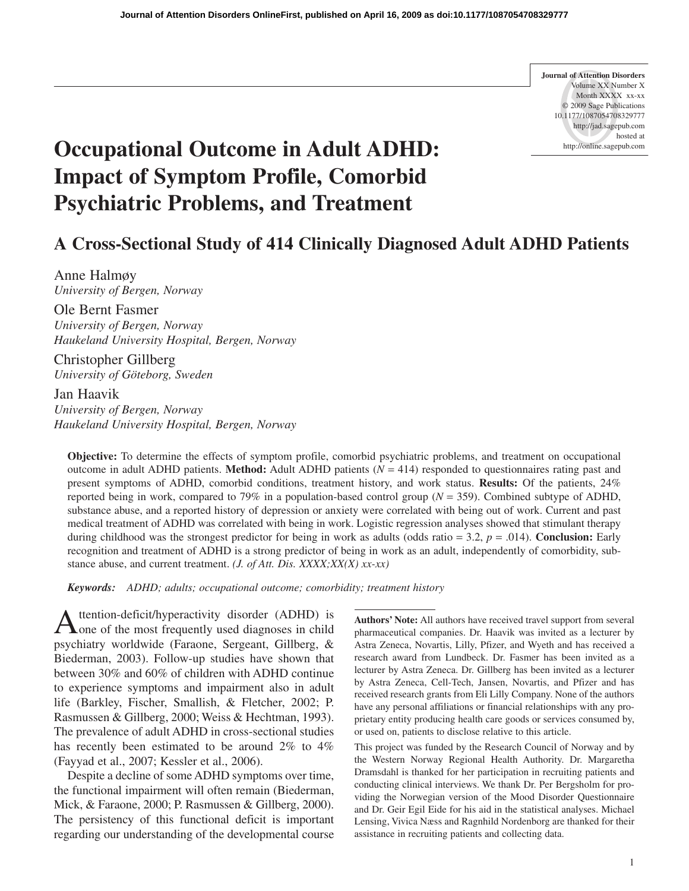**Journal of Attention Disorders** Volume XX Number X Month XXXX xx-xx © 2009 Sage Publications 10.1177/1087054708329777 http://jad.sagepub.com hosted at http://online.sagepub.com

# **Occupational Outcome in Adult ADHD: Impact of Symptom Profile, Comorbid Psychiatric Problems, and Treatment**

# **A Cross-Sectional Study of 414 Clinically Diagnosed Adult ADHD Patients**

Anne Halmøy *University of Bergen, Norway*

Ole Bernt Fasmer *University of Bergen, Norway Haukeland University Hospital, Bergen, Norway*

Christopher Gillberg *University of Göteborg, Sweden*

Jan Haavik *University of Bergen, Norway Haukeland University Hospital, Bergen, Norway*

**Objective:** To determine the effects of symptom profile, comorbid psychiatric problems, and treatment on occupational outcome in adult ADHD patients. **Method:** Adult ADHD patients  $(N = 414)$  responded to questionnaires rating past and present symptoms of ADHD, comorbid conditions, treatment history, and work status. **Results:** Of the patients, 24% reported being in work, compared to 79% in a population-based control group (*N* = 359). Combined subtype of ADHD, substance abuse, and a reported history of depression or anxiety were correlated with being out of work. Current and past medical treatment of ADHD was correlated with being in work. Logistic regression analyses showed that stimulant therapy during childhood was the strongest predictor for being in work as adults (odds ratio = 3.2, *p* = .014). **Conclusion:** Early recognition and treatment of ADHD is a strong predictor of being in work as an adult, independently of comorbidity, substance abuse, and current treatment. *(J. of Att. Dis. XXXX;XX(X) xx-xx)*

*Keywords: ADHD; adults; occupational outcome; comorbidity; treatment history*

Attention-deficit/hyperactivity disorder (ADHD) is one of the most frequently used diagnoses in child psychiatry worldwide (Faraone, Sergeant, Gillberg, & Biederman, 2003). Follow-up studies have shown that between 30% and 60% of children with ADHD continue to experience symptoms and impairment also in adult life (Barkley, Fischer, Smallish, & Fletcher, 2002; P. Rasmussen & Gillberg, 2000; Weiss & Hechtman, 1993). The prevalence of adult ADHD in cross-sectional studies has recently been estimated to be around 2% to 4% (Fayyad et al., 2007; Kessler et al., 2006).

Despite a decline of some ADHD symptoms over time, the functional impairment will often remain (Biederman, Mick, & Faraone, 2000; P. Rasmussen & Gillberg, 2000). The persistency of this functional deficit is important regarding our understanding of the developmental course **Authors' Note:** All authors have received travel support from several pharmaceutical companies. Dr. Haavik was invited as a lecturer by Astra Zeneca, Novartis, Lilly, Pfizer, and Wyeth and has received a research award from Lundbeck. Dr. Fasmer has been invited as a lecturer by Astra Zeneca. Dr. Gillberg has been invited as a lecturer by Astra Zeneca, Cell-Tech, Jansen, Novartis, and Pfizer and has received research grants from Eli Lilly Company. None of the authors have any personal affiliations or financial relationships with any proprietary entity producing health care goods or services consumed by, or used on, patients to disclose relative to this article.

This project was funded by the Research Council of Norway and by the Western Norway Regional Health Authority. Dr. Margaretha Dramsdahl is thanked for her participation in recruiting patients and conducting clinical interviews. We thank Dr. Per Bergsholm for providing the Norwegian version of the Mood Disorder Questionnaire and Dr. Geir Egil Eide for his aid in the statistical analyses. Michael Lensing, Vivica Næss and Ragnhild Nordenborg are thanked for their assistance in recruiting patients and collecting data.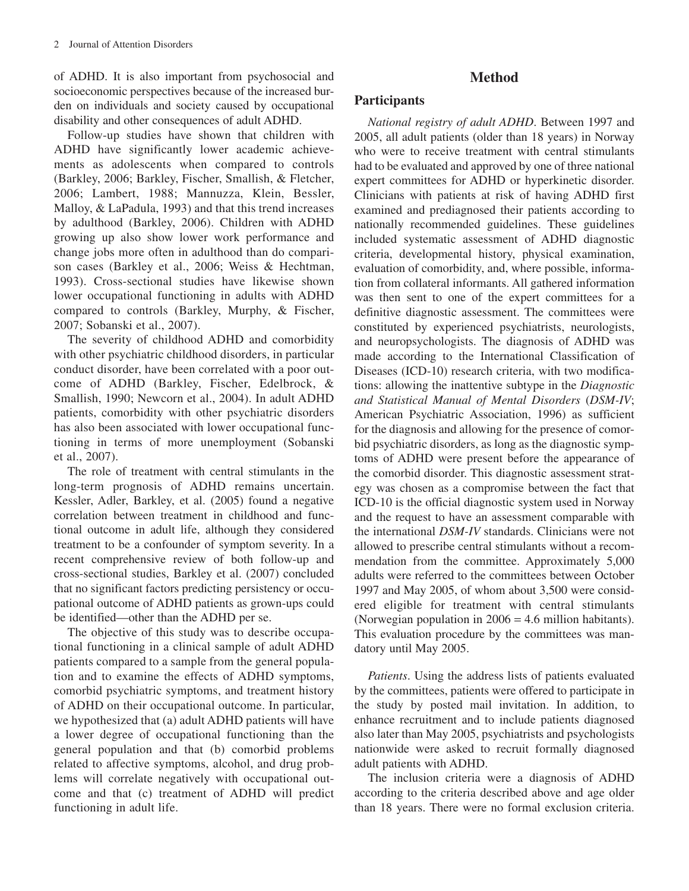of ADHD. It is also important from psychosocial and socioeconomic perspectives because of the increased burden on individuals and society caused by occupational disability and other consequences of adult ADHD.

Follow-up studies have shown that children with ADHD have significantly lower academic achievements as adolescents when compared to controls (Barkley, 2006; Barkley, Fischer, Smallish, & Fletcher, 2006; Lambert, 1988; Mannuzza, Klein, Bessler, Malloy, & LaPadula, 1993) and that this trend increases by adulthood (Barkley, 2006). Children with ADHD growing up also show lower work performance and change jobs more often in adulthood than do comparison cases (Barkley et al., 2006; Weiss & Hechtman, 1993). Cross-sectional studies have likewise shown lower occupational functioning in adults with ADHD compared to controls (Barkley, Murphy, & Fischer, 2007; Sobanski et al., 2007).

The severity of childhood ADHD and comorbidity with other psychiatric childhood disorders, in particular conduct disorder, have been correlated with a poor outcome of ADHD (Barkley, Fischer, Edelbrock, & Smallish, 1990; Newcorn et al., 2004). In adult ADHD patients, comorbidity with other psychiatric disorders has also been associated with lower occupational functioning in terms of more unemployment (Sobanski et al., 2007).

The role of treatment with central stimulants in the long-term prognosis of ADHD remains uncertain. Kessler, Adler, Barkley, et al. (2005) found a negative correlation between treatment in childhood and functional outcome in adult life, although they considered treatment to be a confounder of symptom severity. In a recent comprehensive review of both follow-up and cross-sectional studies, Barkley et al. (2007) concluded that no significant factors predicting persistency or occupational outcome of ADHD patients as grown-ups could be identified—other than the ADHD per se.

The objective of this study was to describe occupational functioning in a clinical sample of adult ADHD patients compared to a sample from the general population and to examine the effects of ADHD symptoms, comorbid psychiatric symptoms, and treatment history of ADHD on their occupational outcome. In particular, we hypothesized that (a) adult ADHD patients will have a lower degree of occupational functioning than the general population and that (b) comorbid problems related to affective symptoms, alcohol, and drug problems will correlate negatively with occupational outcome and that (c) treatment of ADHD will predict functioning in adult life.

# **Method**

# **Participants**

*National registry of adult ADHD*. Between 1997 and 2005, all adult patients (older than 18 years) in Norway who were to receive treatment with central stimulants had to be evaluated and approved by one of three national expert committees for ADHD or hyperkinetic disorder. Clinicians with patients at risk of having ADHD first examined and prediagnosed their patients according to nationally recommended guidelines. These guidelines included systematic assessment of ADHD diagnostic criteria, developmental history, physical examination, evaluation of comorbidity, and, where possible, information from collateral informants. All gathered information was then sent to one of the expert committees for a definitive diagnostic assessment. The committees were constituted by experienced psychiatrists, neurologists, and neuropsychologists. The diagnosis of ADHD was made according to the International Classification of Diseases (ICD-10) research criteria, with two modifications: allowing the inattentive subtype in the *Diagnostic and Statistical Manual of Mental Disorders* (*DSM-IV*; American Psychiatric Association, 1996) as sufficient for the diagnosis and allowing for the presence of comorbid psychiatric disorders, as long as the diagnostic symptoms of ADHD were present before the appearance of the comorbid disorder. This diagnostic assessment strategy was chosen as a compromise between the fact that ICD-10 is the official diagnostic system used in Norway and the request to have an assessment comparable with the international *DSM-IV* standards. Clinicians were not allowed to prescribe central stimulants without a recommendation from the committee. Approximately 5,000 adults were referred to the committees between October 1997 and May 2005, of whom about 3,500 were considered eligible for treatment with central stimulants (Norwegian population in  $2006 = 4.6$  million habitants). This evaluation procedure by the committees was mandatory until May 2005.

*Patients*. Using the address lists of patients evaluated by the committees, patients were offered to participate in the study by posted mail invitation. In addition, to enhance recruitment and to include patients diagnosed also later than May 2005, psychiatrists and psychologists nationwide were asked to recruit formally diagnosed adult patients with ADHD.

The inclusion criteria were a diagnosis of ADHD according to the criteria described above and age older than 18 years. There were no formal exclusion criteria.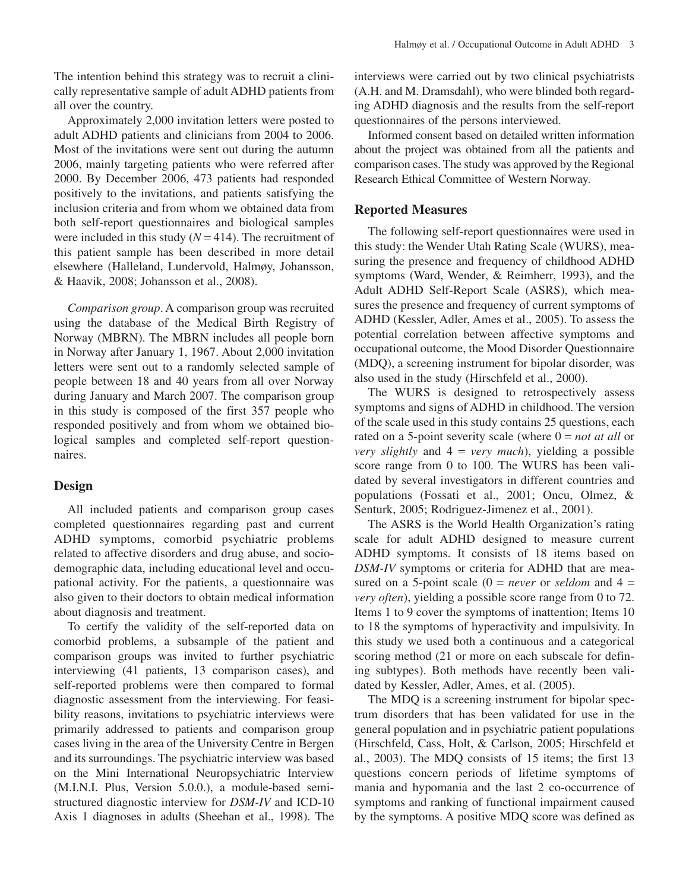The intention behind this strategy was to recruit a clinically representative sample of adult ADHD patients from all over the country.

Approximately 2,000 invitation letters were posted to adult ADHD patients and clinicians from 2004 to 2006. Most of the invitations were sent out during the autumn 2006, mainly targeting patients who were referred after 2000. By December 2006, 473 patients had responded positively to the invitations, and patients satisfying the inclusion criteria and from whom we obtained data from both self-report questionnaires and biological samples were included in this study  $(N = 414)$ . The recruitment of this patient sample has been described in more detail elsewhere (Halleland, Lundervold, Halmøy, Johansson, & Haavik, 2008; Johansson et al., 2008).

*Comparison group*. A comparison group was recruited using the database of the Medical Birth Registry of Norway (MBRN). The MBRN includes all people born in Norway after January 1, 1967. About 2,000 invitation letters were sent out to a randomly selected sample of people between 18 and 40 years from all over Norway during January and March 2007. The comparison group in this study is composed of the first 357 people who responded positively and from whom we obtained biological samples and completed self-report questionnaires.

### **Design**

All included patients and comparison group cases completed questionnaires regarding past and current ADHD symptoms, comorbid psychiatric problems related to affective disorders and drug abuse, and sociodemographic data, including educational level and occupational activity. For the patients, a questionnaire was also given to their doctors to obtain medical information about diagnosis and treatment.

To certify the validity of the self-reported data on comorbid problems, a subsample of the patient and comparison groups was invited to further psychiatric interviewing (41 patients, 13 comparison cases), and self-reported problems were then compared to formal diagnostic assessment from the interviewing. For feasibility reasons, invitations to psychiatric interviews were primarily addressed to patients and comparison group cases living in the area of the University Centre in Bergen and its surroundings. The psychiatric interview was based on the Mini International Neuropsychiatric Interview (M.I.N.I. Plus, Version 5.0.0.), a module-based semistructured diagnostic interview for *DSM-IV* and ICD-10 Axis 1 diagnoses in adults (Sheehan et al., 1998). The

interviews were carried out by two clinical psychiatrists (A.H. and M. Dramsdahl), who were blinded both regarding ADHD diagnosis and the results from the self-report questionnaires of the persons interviewed.

Informed consent based on detailed written information about the project was obtained from all the patients and comparison cases. The study was approved by the Regional Research Ethical Committee of Western Norway.

# **Reported Measures**

The following self-report questionnaires were used in this study: the Wender Utah Rating Scale (WURS), measuring the presence and frequency of childhood ADHD symptoms (Ward, Wender, & Reimherr, 1993), and the Adult ADHD Self-Report Scale (ASRS), which measures the presence and frequency of current symptoms of ADHD (Kessler, Adler, Ames et al., 2005). To assess the potential correlation between affective symptoms and occupational outcome, the Mood Disorder Questionnaire (MDQ), a screening instrument for bipolar disorder, was also used in the study (Hirschfeld et al., 2000).

The WURS is designed to retrospectively assess symptoms and signs of ADHD in childhood. The version of the scale used in this study contains 25 questions, each rated on a 5-point severity scale (where 0 = *not at all* or *very slightly* and 4 = *very much*), yielding a possible score range from 0 to 100. The WURS has been validated by several investigators in different countries and populations (Fossati et al., 2001; Oncu, Olmez, & Senturk, 2005; Rodriguez-Jimenez et al., 2001).

The ASRS is the World Health Organization's rating scale for adult ADHD designed to measure current ADHD symptoms. It consists of 18 items based on *DSM-IV* symptoms or criteria for ADHD that are measured on a 5-point scale  $(0 = never \ or \ seldom \ and \ 4 =$ *very often*), yielding a possible score range from 0 to 72. Items 1 to 9 cover the symptoms of inattention; Items 10 to 18 the symptoms of hyperactivity and impulsivity. In this study we used both a continuous and a categorical scoring method (21 or more on each subscale for defining subtypes). Both methods have recently been validated by Kessler, Adler, Ames, et al. (2005).

The MDQ is a screening instrument for bipolar spectrum disorders that has been validated for use in the general population and in psychiatric patient populations (Hirschfeld, Cass, Holt, & Carlson, 2005; Hirschfeld et al., 2003). The MDQ consists of 15 items; the first 13 questions concern periods of lifetime symptoms of mania and hypomania and the last 2 co-occurrence of symptoms and ranking of functional impairment caused by the symptoms. A positive MDQ score was defined as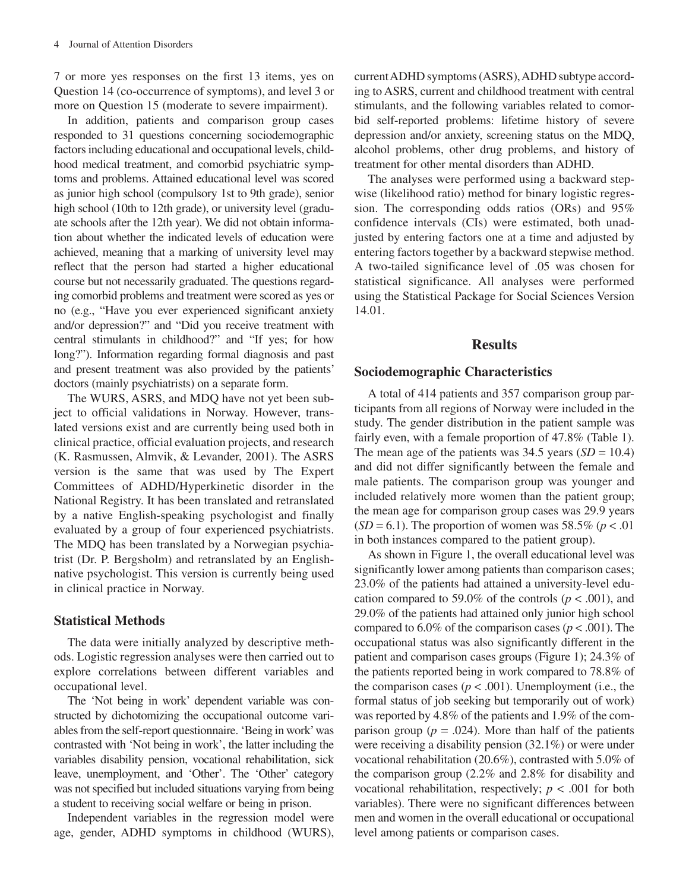7 or more yes responses on the first 13 items, yes on Question 14 (co-occurrence of symptoms), and level 3 or more on Question 15 (moderate to severe impairment).

In addition, patients and comparison group cases responded to 31 questions concerning sociodemographic factors including educational and occupational levels, childhood medical treatment, and comorbid psychiatric symptoms and problems. Attained educational level was scored as junior high school (compulsory 1st to 9th grade), senior high school (10th to 12th grade), or university level (graduate schools after the 12th year). We did not obtain information about whether the indicated levels of education were achieved, meaning that a marking of university level may reflect that the person had started a higher educational course but not necessarily graduated. The questions regarding comorbid problems and treatment were scored as yes or no (e.g., "Have you ever experienced significant anxiety and/or depression?" and "Did you receive treatment with central stimulants in childhood?" and "If yes; for how long?"). Information regarding formal diagnosis and past and present treatment was also provided by the patients' doctors (mainly psychiatrists) on a separate form.

The WURS, ASRS, and MDQ have not yet been subject to official validations in Norway. However, translated versions exist and are currently being used both in clinical practice, official evaluation projects, and research (K. Rasmussen, Almvik, & Levander, 2001). The ASRS version is the same that was used by The Expert Committees of ADHD/Hyperkinetic disorder in the National Registry. It has been translated and retranslated by a native English-speaking psychologist and finally evaluated by a group of four experienced psychiatrists. The MDQ has been translated by a Norwegian psychiatrist (Dr. P. Bergsholm) and retranslated by an Englishnative psychologist. This version is currently being used in clinical practice in Norway.

### **Statistical Methods**

The data were initially analyzed by descriptive methods. Logistic regression analyses were then carried out to explore correlations between different variables and occupational level.

The 'Not being in work' dependent variable was constructed by dichotomizing the occupational outcome variables from the self-report questionnaire. 'Being in work' was contrasted with 'Not being in work', the latter including the variables disability pension, vocational rehabilitation, sick leave, unemployment, and 'Other'. The 'Other' category was not specified but included situations varying from being a student to receiving social welfare or being in prison.

Independent variables in the regression model were age, gender, ADHD symptoms in childhood (WURS), current ADHD symptoms (ASRS), ADHD subtype according to ASRS, current and childhood treatment with central stimulants, and the following variables related to comorbid self-reported problems: lifetime history of severe depression and/or anxiety, screening status on the MDQ, alcohol problems, other drug problems, and history of treatment for other mental disorders than ADHD.

The analyses were performed using a backward stepwise (likelihood ratio) method for binary logistic regression. The corresponding odds ratios (ORs) and 95% confidence intervals (CIs) were estimated, both unadjusted by entering factors one at a time and adjusted by entering factors together by a backward stepwise method. A two-tailed significance level of .05 was chosen for statistical significance. All analyses were performed using the Statistical Package for Social Sciences Version 14.01.

# **Results**

# **Sociodemographic Characteristics**

A total of 414 patients and 357 comparison group participants from all regions of Norway were included in the study. The gender distribution in the patient sample was fairly even, with a female proportion of 47.8% (Table 1). The mean age of the patients was  $34.5$  years  $(SD = 10.4)$ and did not differ significantly between the female and male patients. The comparison group was younger and included relatively more women than the patient group; the mean age for comparison group cases was 29.9 years  $(SD = 6.1)$ . The proportion of women was 58.5% ( $p < .01$ ) in both instances compared to the patient group).

As shown in Figure 1, the overall educational level was significantly lower among patients than comparison cases; 23.0% of the patients had attained a university-level education compared to 59.0% of the controls ( $p < .001$ ), and 29.0% of the patients had attained only junior high school compared to 6.0% of the comparison cases ( $p < .001$ ). The occupational status was also significantly different in the patient and comparison cases groups (Figure 1); 24.3% of the patients reported being in work compared to 78.8% of the comparison cases  $(p < .001)$ . Unemployment (i.e., the formal status of job seeking but temporarily out of work) was reported by 4.8% of the patients and 1.9% of the comparison group ( $p = .024$ ). More than half of the patients were receiving a disability pension (32.1%) or were under vocational rehabilitation (20.6%), contrasted with 5.0% of the comparison group (2.2% and 2.8% for disability and vocational rehabilitation, respectively;  $p < .001$  for both variables). There were no significant differences between men and women in the overall educational or occupational level among patients or comparison cases.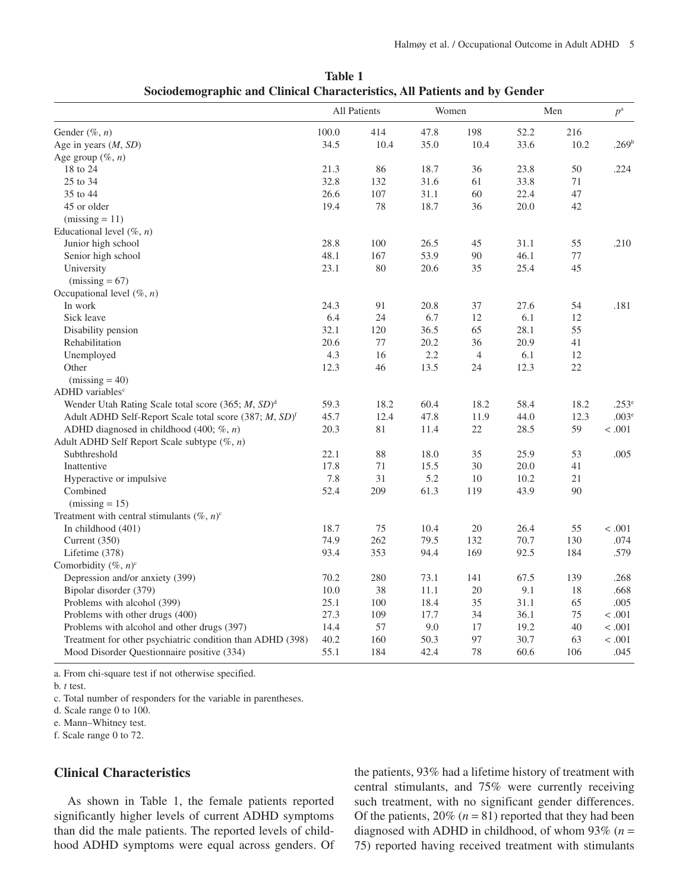| o                                                         | All Patients |         | Women |                | Men  |      | $p^{\rm a}$       |
|-----------------------------------------------------------|--------------|---------|-------|----------------|------|------|-------------------|
|                                                           |              |         |       |                |      |      |                   |
| Gender $(\%, n)$                                          | 100.0        | 414     | 47.8  | 198            | 52.2 | 216  |                   |
| Age in years $(M, SD)$                                    | 34.5         | 10.4    | 35.0  | 10.4           | 33.6 | 10.2 | .269 <sup>b</sup> |
| Age group $(\% , n)$                                      |              |         |       |                |      |      |                   |
| 18 to 24                                                  | 21.3         | 86      | 18.7  | 36             | 23.8 | 50   | .224              |
| 25 to 34                                                  | 32.8         | 132     | 31.6  | 61             | 33.8 | 71   |                   |
| 35 to 44                                                  | 26.6         | 107     | 31.1  | 60             | 22.4 | 47   |                   |
| 45 or older                                               | 19.4         | 78      | 18.7  | 36             | 20.0 | 42   |                   |
| $(missing = 11)$                                          |              |         |       |                |      |      |                   |
| Educational level $(\%, n)$                               |              |         |       |                |      |      |                   |
| Junior high school                                        | 28.8         | 100     | 26.5  | 45             | 31.1 | 55   | .210              |
| Senior high school                                        | 48.1         | 167     | 53.9  | 90             | 46.1 | 77   |                   |
| University                                                | 23.1         | 80      | 20.6  | 35             | 25.4 | 45   |                   |
| $(missing = 67)$                                          |              |         |       |                |      |      |                   |
| Occupational level $(\%, n)$                              |              |         |       |                |      |      |                   |
| In work                                                   | 24.3         | 91      | 20.8  | 37             | 27.6 | 54   | .181              |
| Sick leave                                                | 6.4          | 24      | 6.7   | 12             | 6.1  | 12   |                   |
| Disability pension                                        | 32.1         | 120     | 36.5  | 65             | 28.1 | 55   |                   |
| Rehabilitation                                            | 20.6         | $77 \,$ | 20.2  | 36             | 20.9 | 41   |                   |
| Unemployed                                                | 4.3          | 16      | 2.2   | $\overline{4}$ | 6.1  | 12   |                   |
| Other                                                     | 12.3         | 46      | 13.5  | 24             | 12.3 | 22   |                   |
| $(missing = 40)$                                          |              |         |       |                |      |      |                   |
| ADHD variables <sup>c</sup>                               |              |         |       |                |      |      |                   |
| Wender Utah Rating Scale total score $(365; M, SD)^d$     | 59.3         | 18.2    | 60.4  | 18.2           | 58.4 | 18.2 | .253 <sup>e</sup> |
| Adult ADHD Self-Report Scale total score $(387; M, SD)^f$ | 45.7         | 12.4    | 47.8  | 11.9           | 44.0 | 12.3 | .003 <sup>e</sup> |
| ADHD diagnosed in childhood (400; $\%$ , n)               | 20.3         | 81      | 11.4  | 22             | 28.5 | 59   | < .001            |
| Adult ADHD Self Report Scale subtype $(\%, n)$            |              |         |       |                |      |      |                   |
| Subthreshold                                              | 22.1         | 88      | 18.0  | 35             | 25.9 | 53   | .005              |
| Inattentive                                               | 17.8         | 71      | 15.5  | 30             | 20.0 | 41   |                   |
| Hyperactive or impulsive.                                 | 7.8          | 31      | 5.2   | 10             | 10.2 | 21   |                   |
| Combined                                                  | 52.4         | 209     | 61.3  | 119            | 43.9 | 90   |                   |
| $(missing = 15)$                                          |              |         |       |                |      |      |                   |
| Treatment with central stimulants $(\%, n)^c$             |              |         |       |                |      |      |                   |
| In childhood $(401)$                                      | 18.7         | 75      | 10.4  | 20             | 26.4 | 55   | < .001            |
| Current (350)                                             | 74.9         | 262     | 79.5  | 132            | 70.7 | 130  | .074              |
| Lifetime (378)                                            | 93.4         | 353     | 94.4  | 169            | 92.5 | 184  | .579              |
| Comorbidity $(\% , n)^c$                                  |              |         |       |                |      |      |                   |
| Depression and/or anxiety (399)                           | 70.2         | 280     | 73.1  | 141            | 67.5 | 139  | .268              |
| Bipolar disorder (379)                                    | 10.0         | 38      | 11.1  | 20             | 9.1  | 18   | .668              |
| Problems with alcohol (399)                               | 25.1         | 100     | 18.4  | 35             | 31.1 | 65   | .005              |
| Problems with other drugs (400)                           | 27.3         | 109     | 17.7  | 34             | 36.1 | 75   | < .001            |
| Problems with alcohol and other drugs (397)               | 14.4         | 57      | 9.0   | 17             | 19.2 | 40   | < 0.001           |
| Treatment for other psychiatric condition than ADHD (398) | 40.2         | 160     | 50.3  | 97             | 30.7 | 63   | < .001            |
| Mood Disorder Questionnaire positive (334)                | 55.1         | 184     | 42.4  | 78             | 60.6 | 106  | .045              |
|                                                           |              |         |       |                |      |      |                   |

**Table 1 Sociodemographic and Clinical Characteristics, All Patients and by Gender**

a. From chi-square test if not otherwise specified.

b. *t* test.

c. Total number of responders for the variable in parentheses.

d. Scale range 0 to 100.

e. Mann–Whitney test.

f. Scale range 0 to 72.

# **Clinical Characteristics**

As shown in Table 1, the female patients reported significantly higher levels of current ADHD symptoms than did the male patients. The reported levels of childhood ADHD symptoms were equal across genders. Of the patients, 93% had a lifetime history of treatment with central stimulants, and 75% were currently receiving such treatment, with no significant gender differences. Of the patients,  $20\%$  ( $n = 81$ ) reported that they had been diagnosed with ADHD in childhood, of whom 93% ( $n =$ 75) reported having received treatment with stimulants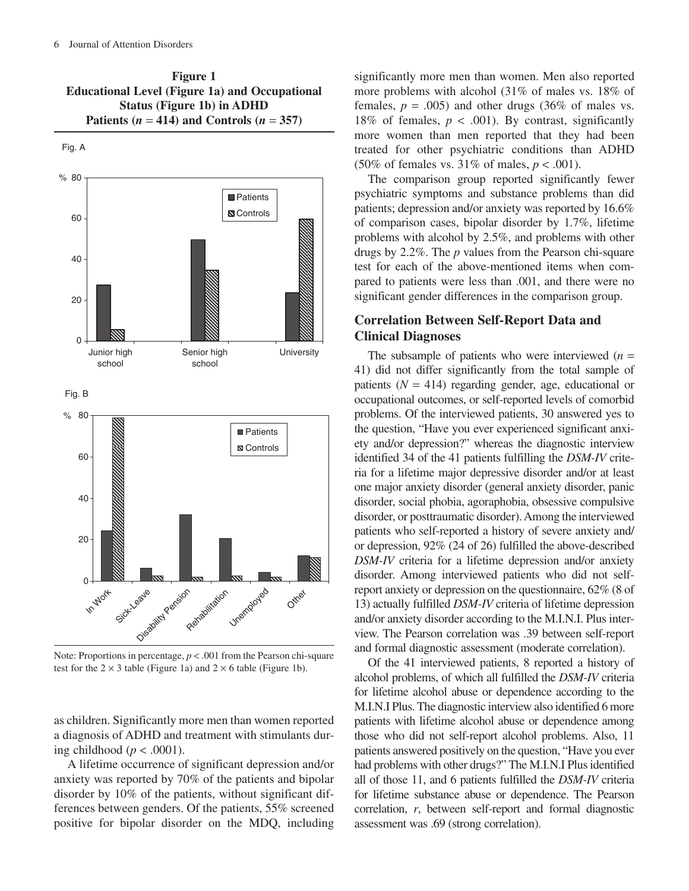**Figure 1 Educational Level (Figure 1a) and Occupational Status (Figure 1b) in ADHD**  Patients ( $n = 414$ ) and Controls ( $n = 357$ )



Note: Proportions in percentage, *p* < .001 from the Pearson chi-square test for the  $2 \times 3$  table (Figure 1a) and  $2 \times 6$  table (Figure 1b).

as children. Significantly more men than women reported a diagnosis of ADHD and treatment with stimulants during childhood ( $p < .0001$ ).

A lifetime occurrence of significant depression and/or anxiety was reported by 70% of the patients and bipolar disorder by 10% of the patients, without significant differences between genders. Of the patients, 55% screened positive for bipolar disorder on the MDQ, including significantly more men than women. Men also reported more problems with alcohol (31% of males vs. 18% of females,  $p = .005$ ) and other drugs (36% of males vs. 18% of females,  $p < .001$ ). By contrast, significantly more women than men reported that they had been treated for other psychiatric conditions than ADHD (50% of females vs. 31% of males, *p* < .001).

The comparison group reported significantly fewer psychiatric symptoms and substance problems than did patients; depression and/or anxiety was reported by 16.6% of comparison cases, bipolar disorder by 1.7%, lifetime problems with alcohol by 2.5%, and problems with other drugs by 2.2%. The *p* values from the Pearson chi-square test for each of the above-mentioned items when compared to patients were less than .001, and there were no significant gender differences in the comparison group.

# **Correlation Between Self-Report Data and Clinical Diagnoses**

The subsample of patients who were interviewed  $(n =$ 41) did not differ significantly from the total sample of patients  $(N = 414)$  regarding gender, age, educational or occupational outcomes, or self-reported levels of comorbid problems. Of the interviewed patients, 30 answered yes to the question, "Have you ever experienced significant anxiety and/or depression?" whereas the diagnostic interview identified 34 of the 41 patients fulfilling the *DSM-IV* criteria for a lifetime major depressive disorder and/or at least one major anxiety disorder (general anxiety disorder, panic disorder, social phobia, agoraphobia, obsessive compulsive disorder, or posttraumatic disorder). Among the interviewed patients who self-reported a history of severe anxiety and/ or depression, 92% (24 of 26) fulfilled the above-described *DSM-IV* criteria for a lifetime depression and/or anxiety disorder. Among interviewed patients who did not selfreport anxiety or depression on the questionnaire, 62% (8 of 13) actually fulfilled *DSM-IV* criteria of lifetime depression and/or anxiety disorder according to the M.I.N.I. Plus interview. The Pearson correlation was .39 between self-report and formal diagnostic assessment (moderate correlation).

Of the 41 interviewed patients, 8 reported a history of alcohol problems, of which all fulfilled the *DSM-IV* criteria for lifetime alcohol abuse or dependence according to the M.I.N.I Plus. The diagnostic interview also identified 6 more patients with lifetime alcohol abuse or dependence among those who did not self-report alcohol problems. Also, 11 patients answered positively on the question, "Have you ever had problems with other drugs?" The M.I.N.I Plus identified all of those 11, and 6 patients fulfilled the *DSM-IV* criteria for lifetime substance abuse or dependence. The Pearson correlation, *r*, between self-report and formal diagnostic assessment was .69 (strong correlation).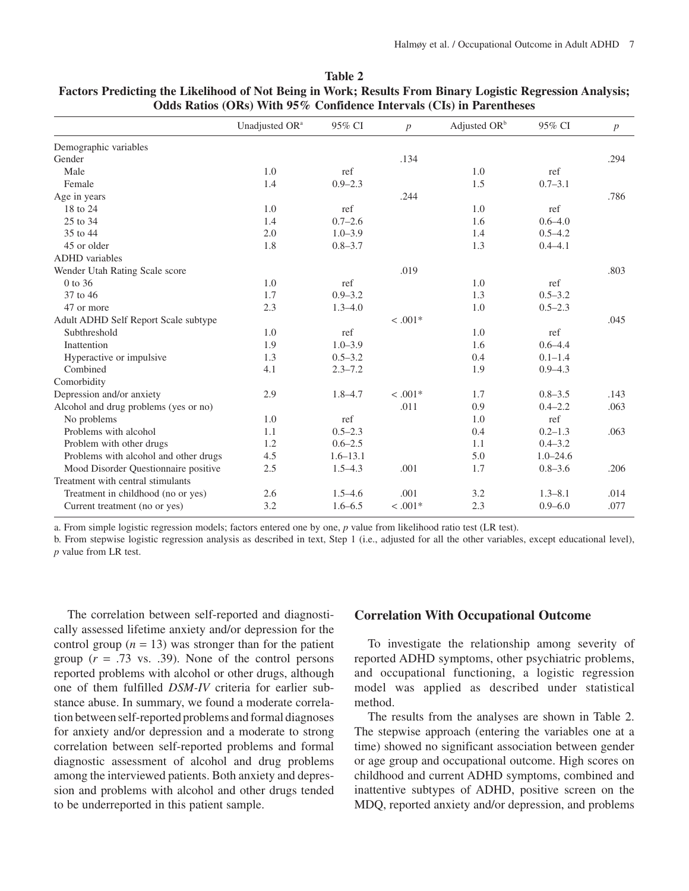|                                       | Unadjusted OR <sup>a</sup> | 95% CI       | $\boldsymbol{p}$ | Adjusted OR <sup>b</sup> | 95% CI       | $\boldsymbol{p}$ |
|---------------------------------------|----------------------------|--------------|------------------|--------------------------|--------------|------------------|
| Demographic variables                 |                            |              |                  |                          |              |                  |
| Gender                                |                            |              | .134             |                          |              | .294             |
| Male                                  | 1.0                        | ref          |                  | 1.0                      | ref          |                  |
| Female                                | 1.4                        | $0.9 - 2.3$  |                  | 1.5                      | $0.7 - 3.1$  |                  |
| Age in years                          |                            |              | .244             |                          |              | .786             |
| 18 to 24                              | 1.0                        | ref          |                  | 1.0                      | ref          |                  |
| 25 to 34                              | 1.4                        | $0.7 - 2.6$  |                  | 1.6                      | $0.6 - 4.0$  |                  |
| 35 to 44                              | 2.0                        | $1.0 - 3.9$  |                  | 1.4                      | $0.5 - 4.2$  |                  |
| 45 or older                           | 1.8                        | $0.8 - 3.7$  |                  | 1.3                      | $0.4 - 4.1$  |                  |
| <b>ADHD</b> variables                 |                            |              |                  |                          |              |                  |
| Wender Utah Rating Scale score        |                            |              | .019             |                          |              | .803             |
| $0$ to 36                             | 1.0                        | ref          |                  | 1.0                      | ref          |                  |
| 37 to 46                              | 1.7                        | $0.9 - 3.2$  |                  | 1.3                      | $0.5 - 3.2$  |                  |
| 47 or more                            | 2.3                        | $1.3 - 4.0$  |                  | 1.0                      | $0.5 - 2.3$  |                  |
| Adult ADHD Self Report Scale subtype  |                            |              | $< .001*$        |                          |              | .045             |
| Subthreshold                          | 1.0                        | ref          |                  | 1.0                      | ref          |                  |
| Inattention                           | 1.9                        | $1.0 - 3.9$  |                  | 1.6                      | $0.6 - 4.4$  |                  |
| Hyperactive or impulsive              | 1.3                        | $0.5 - 3.2$  |                  | 0.4                      | $0.1 - 1.4$  |                  |
| Combined                              | 4.1                        | $2.3 - 7.2$  |                  | 1.9                      | $0.9 - 4.3$  |                  |
| Comorbidity                           |                            |              |                  |                          |              |                  |
| Depression and/or anxiety             | 2.9                        | $1.8 - 4.7$  | $< .001*$        | 1.7                      | $0.8 - 3.5$  | .143             |
| Alcohol and drug problems (yes or no) |                            |              | .011             | 0.9                      | $0.4 - 2.2$  | .063             |
| No problems                           | 1.0                        | ref          |                  | 1.0                      | ref          |                  |
| Problems with alcohol                 | 1.1                        | $0.5 - 2.3$  |                  | 0.4                      | $0.2 - 1.3$  | .063             |
| Problem with other drugs              | 1.2                        | $0.6 - 2.5$  |                  | 1.1                      | $0.4 - 3.2$  |                  |
| Problems with alcohol and other drugs | 4.5                        | $1.6 - 13.1$ |                  | 5.0                      | $1.0 - 24.6$ |                  |
| Mood Disorder Questionnaire positive  | 2.5                        | $1.5 - 4.3$  | .001             | 1.7                      | $0.8 - 3.6$  | .206             |
| Treatment with central stimulants     |                            |              |                  |                          |              |                  |
| Treatment in childhood (no or yes)    | 2.6                        | $1.5 - 4.6$  | .001             | 3.2                      | $1.3 - 8.1$  | .014             |
| Current treatment (no or yes)         | 3.2                        | $1.6 - 6.5$  | $< .001*$        | 2.3                      | $0.9 - 6.0$  | .077             |

**Table 2 Factors Predicting the Likelihood of Not Being in Work; Results From Binary Logistic Regression Analysis; Odds Ratios (ORs) With 95% Confidence Intervals (CIs) in Parentheses**

a. From simple logistic regression models; factors entered one by one, *p* value from likelihood ratio test (LR test).

b. From stepwise logistic regression analysis as described in text, Step 1 (i.e., adjusted for all the other variables, except educational level), *p* value from LR test.

The correlation between self-reported and diagnostically assessed lifetime anxiety and/or depression for the control group  $(n = 13)$  was stronger than for the patient group  $(r = .73 \text{ vs. } .39)$ . None of the control persons reported problems with alcohol or other drugs, although one of them fulfilled *DSM-IV* criteria for earlier substance abuse. In summary, we found a moderate correlation between self-reported problems and formal diagnoses for anxiety and/or depression and a moderate to strong correlation between self-reported problems and formal diagnostic assessment of alcohol and drug problems among the interviewed patients. Both anxiety and depression and problems with alcohol and other drugs tended to be underreported in this patient sample.

#### **Correlation With Occupational Outcome**

To investigate the relationship among severity of reported ADHD symptoms, other psychiatric problems, and occupational functioning, a logistic regression model was applied as described under statistical method.

The results from the analyses are shown in Table 2. The stepwise approach (entering the variables one at a time) showed no significant association between gender or age group and occupational outcome. High scores on childhood and current ADHD symptoms, combined and inattentive subtypes of ADHD, positive screen on the MDQ, reported anxiety and/or depression, and problems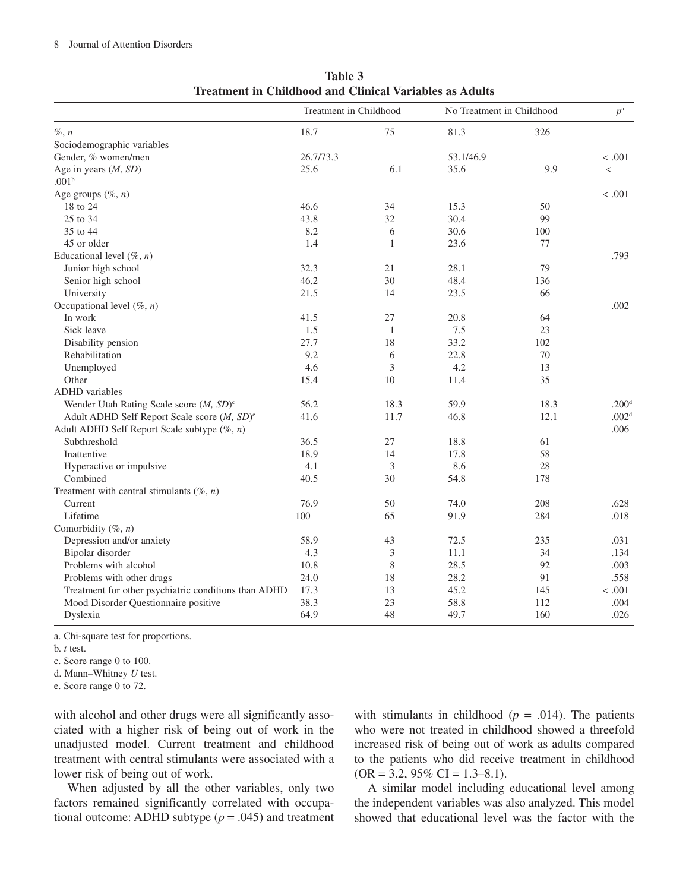|                                                      | Treatment in Childhood |              | No Treatment in Childhood |      | $p^{\rm a}$       |
|------------------------------------------------------|------------------------|--------------|---------------------------|------|-------------------|
| $\%$ , n                                             | 18.7                   | 75           | 81.3                      | 326  |                   |
| Sociodemographic variables                           |                        |              |                           |      |                   |
| Gender, % women/men                                  | 26.7/73.3              |              | 53.1/46.9                 |      | < .001            |
| Age in years $(M, SD)$                               | 25.6                   | 6.1          | 35.6                      | 9.9  | $\,<$             |
| .001 <sup>b</sup>                                    |                        |              |                           |      |                   |
| Age groups $(\% , n)$                                |                        |              |                           |      | < 0.001           |
| 18 to 24                                             | 46.6                   | 34           | 15.3                      | 50   |                   |
| 25 to 34                                             | 43.8                   | 32           | 30.4                      | 99   |                   |
| 35 to 44                                             | 8.2                    | 6            | 30.6                      | 100  |                   |
| 45 or older                                          | 1.4                    | $\mathbf{1}$ | 23.6                      | 77   |                   |
| Educational level $(\%, n)$                          |                        |              |                           |      | .793              |
| Junior high school                                   | 32.3                   | 21           | 28.1                      | 79   |                   |
| Senior high school                                   | 46.2                   | 30           | 48.4                      | 136  |                   |
| University                                           | 21.5                   | 14           | 23.5                      | 66   |                   |
| Occupational level $(\%, n)$                         |                        |              |                           |      | .002              |
| In work                                              | 41.5                   | 27           | 20.8                      | 64   |                   |
| Sick leave                                           | 1.5                    | $\mathbf{1}$ | 7.5                       | 23   |                   |
| Disability pension                                   | 27.7                   | 18           | 33.2                      | 102  |                   |
| Rehabilitation                                       | 9.2                    | 6            | 22.8                      | 70   |                   |
| Unemployed                                           | 4.6                    | 3            | 4.2                       | 13   |                   |
| Other                                                | 15.4                   | 10           | 11.4                      | 35   |                   |
| <b>ADHD</b> variables                                |                        |              |                           |      |                   |
| Wender Utah Rating Scale score $(M, SD)^c$           | 56.2                   | 18.3         | 59.9                      | 18.3 | .200 <sup>d</sup> |
| Adult ADHD Self Report Scale score $(M, SD)^e$       | 41.6                   | 11.7         | 46.8                      | 12.1 | .002 <sup>d</sup> |
| Adult ADHD Self Report Scale subtype $(\%, n)$       |                        |              |                           |      | .006              |
| Subthreshold                                         | 36.5                   | 27           | 18.8                      | 61   |                   |
| Inattentive                                          | 18.9                   | 14           | 17.8                      | 58   |                   |
| Hyperactive or impulsive                             | 4.1                    | 3            | 8.6                       | 28   |                   |
| Combined                                             | 40.5                   | 30           | 54.8                      | 178  |                   |
| Treatment with central stimulants $(\%, n)$          |                        |              |                           |      |                   |
| Current                                              | 76.9                   | 50           | 74.0                      | 208  | .628              |
| Lifetime                                             | 100                    | 65           | 91.9                      | 284  | .018              |
| Comorbidity $(\% , n)$                               |                        |              |                           |      |                   |
| Depression and/or anxiety                            | 58.9                   | 43           | 72.5                      | 235  | .031              |
| Bipolar disorder                                     | 4.3                    | 3            | 11.1                      | 34   | .134              |
| Problems with alcohol                                | 10.8                   | $\,$ 8 $\,$  | 28.5                      | 92   | .003              |
| Problems with other drugs                            | 24.0                   | 18           | 28.2                      | 91   | .558              |
| Treatment for other psychiatric conditions than ADHD | 17.3                   | 13           | 45.2                      | 145  | < .001            |
| Mood Disorder Questionnaire positive                 | 38.3                   | 23           | 58.8                      | 112  | .004              |
| Dyslexia                                             | 64.9                   | 48           | 49.7                      | 160  | .026              |

**Table 3 Treatment in Childhood and Clinical Variables as Adults**

a. Chi-square test for proportions.

b. *t* test.

c. Score range 0 to 100.

d. Mann–Whitney *U* test.

e. Score range 0 to 72.

with alcohol and other drugs were all significantly associated with a higher risk of being out of work in the unadjusted model. Current treatment and childhood treatment with central stimulants were associated with a lower risk of being out of work.

When adjusted by all the other variables, only two factors remained significantly correlated with occupational outcome: ADHD subtype  $(p = .045)$  and treatment with stimulants in childhood ( $p = .014$ ). The patients who were not treated in childhood showed a threefold increased risk of being out of work as adults compared to the patients who did receive treatment in childhood  $(OR = 3.2, 95\% \text{ CI} = 1.3-8.1).$ 

A similar model including educational level among the independent variables was also analyzed. This model showed that educational level was the factor with the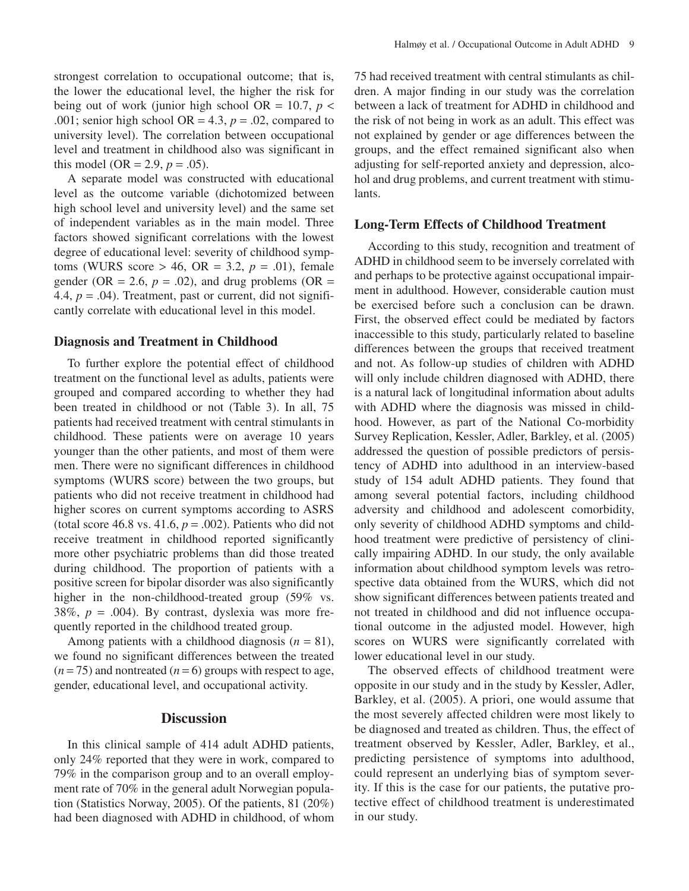university level). The correlation between occupational level and treatment in childhood also was significant in this model (OR = 2.9,  $p = .05$ ).

A separate model was constructed with educational level as the outcome variable (dichotomized between high school level and university level) and the same set of independent variables as in the main model. Three factors showed significant correlations with the lowest degree of educational level: severity of childhood symptoms (WURS score  $> 46$ , OR = 3.2,  $p = .01$ ), female gender (OR = 2.6,  $p = .02$ ), and drug problems (OR = 4.4,  $p = .04$ ). Treatment, past or current, did not significantly correlate with educational level in this model.

#### **Diagnosis and Treatment in Childhood**

To further explore the potential effect of childhood treatment on the functional level as adults, patients were grouped and compared according to whether they had been treated in childhood or not (Table 3). In all, 75 patients had received treatment with central stimulants in childhood. These patients were on average 10 years younger than the other patients, and most of them were men. There were no significant differences in childhood symptoms (WURS score) between the two groups, but patients who did not receive treatment in childhood had higher scores on current symptoms according to ASRS (total score 46.8 vs. 41.6,  $p = .002$ ). Patients who did not receive treatment in childhood reported significantly more other psychiatric problems than did those treated during childhood. The proportion of patients with a positive screen for bipolar disorder was also significantly higher in the non-childhood-treated group (59% vs. 38%,  $p = .004$ ). By contrast, dyslexia was more frequently reported in the childhood treated group.

Among patients with a childhood diagnosis  $(n = 81)$ , we found no significant differences between the treated  $(n=75)$  and nontreated  $(n=6)$  groups with respect to age, gender, educational level, and occupational activity.

# **Discussion**

In this clinical sample of 414 adult ADHD patients, only 24% reported that they were in work, compared to 79% in the comparison group and to an overall employment rate of 70% in the general adult Norwegian population (Statistics Norway, 2005). Of the patients, 81 (20%) had been diagnosed with ADHD in childhood, of whom 75 had received treatment with central stimulants as children. A major finding in our study was the correlation between a lack of treatment for ADHD in childhood and the risk of not being in work as an adult. This effect was not explained by gender or age differences between the groups, and the effect remained significant also when adjusting for self-reported anxiety and depression, alcohol and drug problems, and current treatment with stimu-

#### **Long-Term Effects of Childhood Treatment**

lants.

According to this study, recognition and treatment of ADHD in childhood seem to be inversely correlated with and perhaps to be protective against occupational impairment in adulthood. However, considerable caution must be exercised before such a conclusion can be drawn. First, the observed effect could be mediated by factors inaccessible to this study, particularly related to baseline differences between the groups that received treatment and not. As follow-up studies of children with ADHD will only include children diagnosed with ADHD, there is a natural lack of longitudinal information about adults with ADHD where the diagnosis was missed in childhood. However, as part of the National Co-morbidity Survey Replication, Kessler, Adler, Barkley, et al. (2005) addressed the question of possible predictors of persistency of ADHD into adulthood in an interview-based study of 154 adult ADHD patients. They found that among several potential factors, including childhood adversity and childhood and adolescent comorbidity, only severity of childhood ADHD symptoms and childhood treatment were predictive of persistency of clinically impairing ADHD. In our study, the only available information about childhood symptom levels was retrospective data obtained from the WURS, which did not show significant differences between patients treated and not treated in childhood and did not influence occupational outcome in the adjusted model. However, high scores on WURS were significantly correlated with lower educational level in our study.

The observed effects of childhood treatment were opposite in our study and in the study by Kessler, Adler, Barkley, et al. (2005). A priori, one would assume that the most severely affected children were most likely to be diagnosed and treated as children. Thus, the effect of treatment observed by Kessler, Adler, Barkley, et al., predicting persistence of symptoms into adulthood, could represent an underlying bias of symptom severity. If this is the case for our patients, the putative protective effect of childhood treatment is underestimated in our study.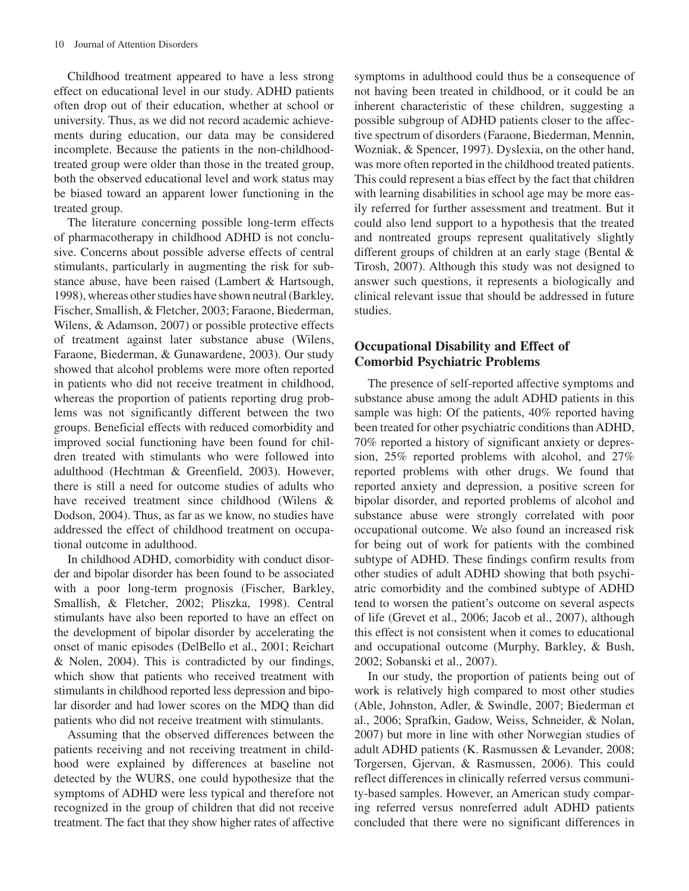Childhood treatment appeared to have a less strong effect on educational level in our study. ADHD patients often drop out of their education, whether at school or university. Thus, as we did not record academic achievements during education, our data may be considered incomplete. Because the patients in the non-childhoodtreated group were older than those in the treated group, both the observed educational level and work status may be biased toward an apparent lower functioning in the treated group.

The literature concerning possible long-term effects of pharmacotherapy in childhood ADHD is not conclusive. Concerns about possible adverse effects of central stimulants, particularly in augmenting the risk for substance abuse, have been raised (Lambert & Hartsough, 1998), whereas other studies have shown neutral (Barkley, Fischer, Smallish, & Fletcher, 2003; Faraone, Biederman, Wilens, & Adamson, 2007) or possible protective effects of treatment against later substance abuse (Wilens, Faraone, Biederman, & Gunawardene, 2003). Our study showed that alcohol problems were more often reported in patients who did not receive treatment in childhood, whereas the proportion of patients reporting drug problems was not significantly different between the two groups. Beneficial effects with reduced comorbidity and improved social functioning have been found for children treated with stimulants who were followed into adulthood (Hechtman & Greenfield, 2003). However, there is still a need for outcome studies of adults who have received treatment since childhood (Wilens & Dodson, 2004). Thus, as far as we know, no studies have addressed the effect of childhood treatment on occupational outcome in adulthood.

In childhood ADHD, comorbidity with conduct disorder and bipolar disorder has been found to be associated with a poor long-term prognosis (Fischer, Barkley, Smallish, & Fletcher, 2002; Pliszka, 1998). Central stimulants have also been reported to have an effect on the development of bipolar disorder by accelerating the onset of manic episodes (DelBello et al., 2001; Reichart & Nolen, 2004). This is contradicted by our findings, which show that patients who received treatment with stimulants in childhood reported less depression and bipolar disorder and had lower scores on the MDQ than did patients who did not receive treatment with stimulants.

Assuming that the observed differences between the patients receiving and not receiving treatment in childhood were explained by differences at baseline not detected by the WURS, one could hypothesize that the symptoms of ADHD were less typical and therefore not recognized in the group of children that did not receive treatment. The fact that they show higher rates of affective symptoms in adulthood could thus be a consequence of not having been treated in childhood, or it could be an inherent characteristic of these children, suggesting a possible subgroup of ADHD patients closer to the affective spectrum of disorders (Faraone, Biederman, Mennin, Wozniak, & Spencer, 1997). Dyslexia, on the other hand, was more often reported in the childhood treated patients. This could represent a bias effect by the fact that children with learning disabilities in school age may be more easily referred for further assessment and treatment. But it could also lend support to a hypothesis that the treated and nontreated groups represent qualitatively slightly different groups of children at an early stage (Bental & Tirosh, 2007). Although this study was not designed to answer such questions, it represents a biologically and clinical relevant issue that should be addressed in future studies.

# **Occupational Disability and Effect of Comorbid Psychiatric Problems**

The presence of self-reported affective symptoms and substance abuse among the adult ADHD patients in this sample was high: Of the patients, 40% reported having been treated for other psychiatric conditions than ADHD, 70% reported a history of significant anxiety or depression, 25% reported problems with alcohol, and 27% reported problems with other drugs. We found that reported anxiety and depression, a positive screen for bipolar disorder, and reported problems of alcohol and substance abuse were strongly correlated with poor occupational outcome. We also found an increased risk for being out of work for patients with the combined subtype of ADHD. These findings confirm results from other studies of adult ADHD showing that both psychiatric comorbidity and the combined subtype of ADHD tend to worsen the patient's outcome on several aspects of life (Grevet et al., 2006; Jacob et al., 2007), although this effect is not consistent when it comes to educational and occupational outcome (Murphy, Barkley, & Bush, 2002; Sobanski et al., 2007).

In our study, the proportion of patients being out of work is relatively high compared to most other studies (Able, Johnston, Adler, & Swindle, 2007; Biederman et al., 2006; Sprafkin, Gadow, Weiss, Schneider, & Nolan, 2007) but more in line with other Norwegian studies of adult ADHD patients (K. Rasmussen & Levander, 2008; Torgersen, Gjervan, & Rasmussen, 2006). This could reflect differences in clinically referred versus community-based samples. However, an American study comparing referred versus nonreferred adult ADHD patients concluded that there were no significant differences in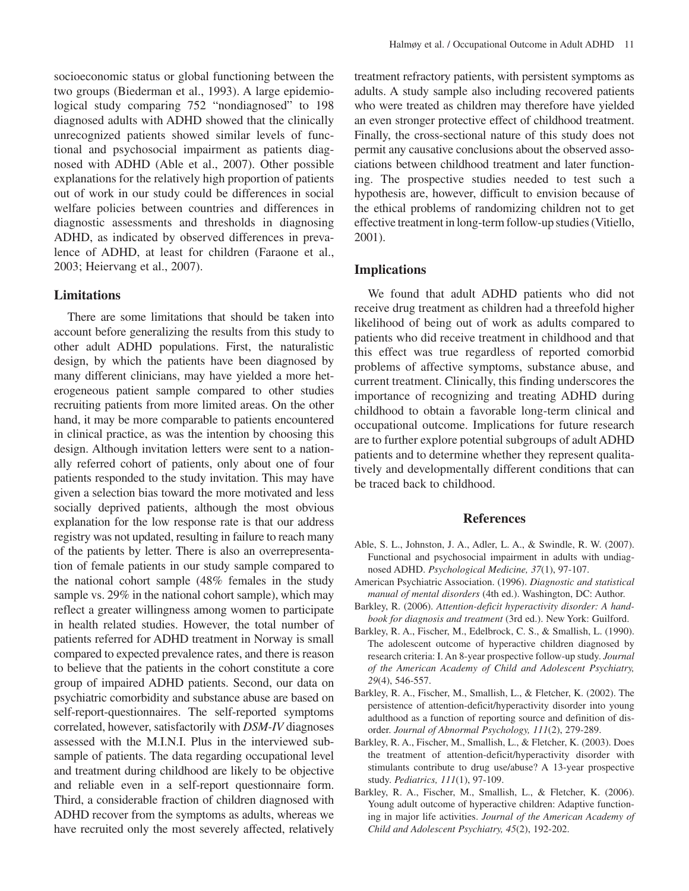socioeconomic status or global functioning between the two groups (Biederman et al., 1993). A large epidemiological study comparing 752 "nondiagnosed" to 198 diagnosed adults with ADHD showed that the clinically unrecognized patients showed similar levels of functional and psychosocial impairment as patients diagnosed with ADHD (Able et al., 2007). Other possible explanations for the relatively high proportion of patients out of work in our study could be differences in social welfare policies between countries and differences in diagnostic assessments and thresholds in diagnosing ADHD, as indicated by observed differences in prevalence of ADHD, at least for children (Faraone et al., 2003; Heiervang et al., 2007).

#### **Limitations**

There are some limitations that should be taken into account before generalizing the results from this study to other adult ADHD populations. First, the naturalistic design, by which the patients have been diagnosed by many different clinicians, may have yielded a more heterogeneous patient sample compared to other studies recruiting patients from more limited areas. On the other hand, it may be more comparable to patients encountered in clinical practice, as was the intention by choosing this design. Although invitation letters were sent to a nationally referred cohort of patients, only about one of four patients responded to the study invitation. This may have given a selection bias toward the more motivated and less socially deprived patients, although the most obvious explanation for the low response rate is that our address registry was not updated, resulting in failure to reach many of the patients by letter. There is also an overrepresentation of female patients in our study sample compared to the national cohort sample (48% females in the study sample vs. 29% in the national cohort sample), which may reflect a greater willingness among women to participate in health related studies. However, the total number of patients referred for ADHD treatment in Norway is small compared to expected prevalence rates, and there is reason to believe that the patients in the cohort constitute a core group of impaired ADHD patients. Second, our data on psychiatric comorbidity and substance abuse are based on self-report-questionnaires. The self-reported symptoms correlated, however, satisfactorily with *DSM-IV* diagnoses assessed with the M.I.N.I. Plus in the interviewed subsample of patients. The data regarding occupational level and treatment during childhood are likely to be objective and reliable even in a self-report questionnaire form. Third, a considerable fraction of children diagnosed with ADHD recover from the symptoms as adults, whereas we have recruited only the most severely affected, relatively

treatment refractory patients, with persistent symptoms as adults. A study sample also including recovered patients who were treated as children may therefore have yielded an even stronger protective effect of childhood treatment. Finally, the cross-sectional nature of this study does not permit any causative conclusions about the observed associations between childhood treatment and later functioning. The prospective studies needed to test such a hypothesis are, however, difficult to envision because of the ethical problems of randomizing children not to get effective treatment in long-term follow-up studies (Vitiello, 2001).

#### **Implications**

We found that adult ADHD patients who did not receive drug treatment as children had a threefold higher likelihood of being out of work as adults compared to patients who did receive treatment in childhood and that this effect was true regardless of reported comorbid problems of affective symptoms, substance abuse, and current treatment. Clinically, this finding underscores the importance of recognizing and treating ADHD during childhood to obtain a favorable long-term clinical and occupational outcome. Implications for future research are to further explore potential subgroups of adult ADHD patients and to determine whether they represent qualitatively and developmentally different conditions that can be traced back to childhood.

#### **References**

- Able, S. L., Johnston, J. A., Adler, L. A., & Swindle, R. W. (2007). Functional and psychosocial impairment in adults with undiagnosed ADHD. *Psychological Medicine, 37*(1), 97-107.
- American Psychiatric Association. (1996). *Diagnostic and statistical manual of mental disorders* (4th ed.). Washington, DC: Author.
- Barkley, R. (2006). *Attention-deficit hyperactivity disorder: A handbook for diagnosis and treatment* (3rd ed.). New York: Guilford.
- Barkley, R. A., Fischer, M., Edelbrock, C. S., & Smallish, L. (1990). The adolescent outcome of hyperactive children diagnosed by research criteria: I. An 8-year prospective follow-up study. *Journal of the American Academy of Child and Adolescent Psychiatry, 29*(4), 546-557.
- Barkley, R. A., Fischer, M., Smallish, L., & Fletcher, K. (2002). The persistence of attention-deficit/hyperactivity disorder into young adulthood as a function of reporting source and definition of disorder. *Journal of Abnormal Psychology, 111*(2), 279-289.
- Barkley, R. A., Fischer, M., Smallish, L., & Fletcher, K. (2003). Does the treatment of attention-deficit/hyperactivity disorder with stimulants contribute to drug use/abuse? A 13-year prospective study. *Pediatrics, 111*(1), 97-109.
- Barkley, R. A., Fischer, M., Smallish, L., & Fletcher, K. (2006). Young adult outcome of hyperactive children: Adaptive functioning in major life activities. *Journal of the American Academy of Child and Adolescent Psychiatry, 45*(2), 192-202.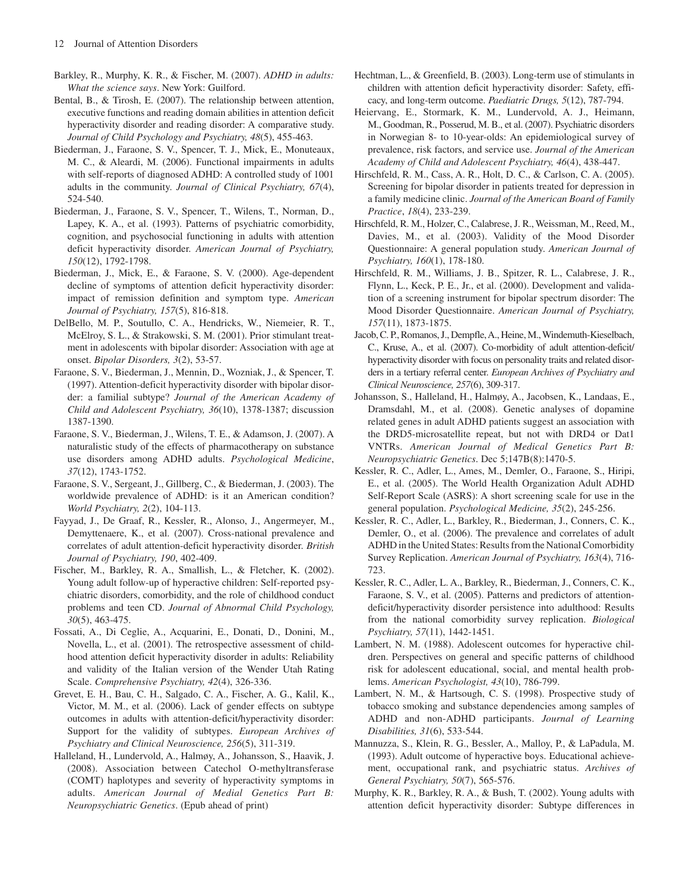- Barkley, R., Murphy, K. R., & Fischer, M. (2007). *ADHD in adults: What the science says*. New York: Guilford.
- Bental, B., & Tirosh, E. (2007). The relationship between attention, executive functions and reading domain abilities in attention deficit hyperactivity disorder and reading disorder: A comparative study. *Journal of Child Psychology and Psychiatry, 48*(5), 455-463.
- Biederman, J., Faraone, S. V., Spencer, T. J., Mick, E., Monuteaux, M. C., & Aleardi, M. (2006). Functional impairments in adults with self-reports of diagnosed ADHD: A controlled study of 1001 adults in the community. *Journal of Clinical Psychiatry, 67*(4), 524-540.
- Biederman, J., Faraone, S. V., Spencer, T., Wilens, T., Norman, D., Lapey, K. A., et al. (1993). Patterns of psychiatric comorbidity, cognition, and psychosocial functioning in adults with attention deficit hyperactivity disorder. *American Journal of Psychiatry, 150*(12), 1792-1798.
- Biederman, J., Mick, E., & Faraone, S. V. (2000). Age-dependent decline of symptoms of attention deficit hyperactivity disorder: impact of remission definition and symptom type. *American Journal of Psychiatry, 157*(5), 816-818.
- DelBello, M. P., Soutullo, C. A., Hendricks, W., Niemeier, R. T., McElroy, S. L., & Strakowski, S. M. (2001). Prior stimulant treatment in adolescents with bipolar disorder: Association with age at onset. *Bipolar Disorders, 3*(2), 53-57.
- Faraone, S. V., Biederman, J., Mennin, D., Wozniak, J., & Spencer, T. (1997). Attention-deficit hyperactivity disorder with bipolar disorder: a familial subtype? *Journal of the American Academy of Child and Adolescent Psychiatry, 36*(10), 1378-1387; discussion 1387-1390.
- Faraone, S. V., Biederman, J., Wilens, T. E., & Adamson, J. (2007). A naturalistic study of the effects of pharmacotherapy on substance use disorders among ADHD adults. *Psychological Medicine*, *37*(12), 1743-1752.
- Faraone, S. V., Sergeant, J., Gillberg, C., & Biederman, J. (2003). The worldwide prevalence of ADHD: is it an American condition? *World Psychiatry, 2*(2), 104-113.
- Fayyad, J., De Graaf, R., Kessler, R., Alonso, J., Angermeyer, M., Demyttenaere, K., et al. (2007). Cross-national prevalence and correlates of adult attention-deficit hyperactivity disorder. *British Journal of Psychiatry, 190*, 402-409.
- Fischer, M., Barkley, R. A., Smallish, L., & Fletcher, K. (2002). Young adult follow-up of hyperactive children: Self-reported psychiatric disorders, comorbidity, and the role of childhood conduct problems and teen CD. *Journal of Abnormal Child Psychology, 30*(5), 463-475.
- Fossati, A., Di Ceglie, A., Acquarini, E., Donati, D., Donini, M., Novella, L., et al. (2001). The retrospective assessment of childhood attention deficit hyperactivity disorder in adults: Reliability and validity of the Italian version of the Wender Utah Rating Scale. *Comprehensive Psychiatry, 42*(4), 326-336.
- Grevet, E. H., Bau, C. H., Salgado, C. A., Fischer, A. G., Kalil, K., Victor, M. M., et al. (2006). Lack of gender effects on subtype outcomes in adults with attention-deficit/hyperactivity disorder: Support for the validity of subtypes. *European Archives of Psychiatry and Clinical Neuroscience, 256*(5), 311-319.
- Halleland, H., Lundervold, A., Halmøy, A., Johansson, S., Haavik, J. (2008). Association between Catechol O-methyltransferase (COMT) haplotypes and severity of hyperactivity symptoms in adults. *American Journal of Medial Genetics Part B: Neuropsychiatric Genetics*. (Epub ahead of print)
- Hechtman, L., & Greenfield, B. (2003). Long-term use of stimulants in children with attention deficit hyperactivity disorder: Safety, efficacy, and long-term outcome. *Paediatric Drugs, 5*(12), 787-794.
- Heiervang, E., Stormark, K. M., Lundervold, A. J., Heimann, M., Goodman, R., Posserud, M. B., et al. (2007). Psychiatric disorders in Norwegian 8- to 10-year-olds: An epidemiological survey of prevalence, risk factors, and service use. *Journal of the American Academy of Child and Adolescent Psychiatry, 46*(4), 438-447.
- Hirschfeld, R. M., Cass, A. R., Holt, D. C., & Carlson, C. A. (2005). Screening for bipolar disorder in patients treated for depression in a family medicine clinic. *Journal of the American Board of Family Practice*, *18*(4), 233-239.
- Hirschfeld, R. M., Holzer, C., Calabrese, J. R., Weissman, M., Reed, M., Davies, M., et al. (2003). Validity of the Mood Disorder Questionnaire: A general population study. *American Journal of Psychiatry, 160*(1), 178-180.
- Hirschfeld, R. M., Williams, J. B., Spitzer, R. L., Calabrese, J. R., Flynn, L., Keck, P. E., Jr., et al. (2000). Development and validation of a screening instrument for bipolar spectrum disorder: The Mood Disorder Questionnaire. *American Journal of Psychiatry, 157*(11), 1873-1875.
- Jacob, C. P., Romanos, J., Dempfle, A., Heine, M., Windemuth-Kieselbach, C., Kruse, A., et al. (2007). Co-morbidity of adult attention-deficit/ hyperactivity disorder with focus on personality traits and related disorders in a tertiary referral center. *European Archives of Psychiatry and Clinical Neuroscience, 257*(6), 309-317.
- Johansson, S., Halleland, H., Halmøy, A., Jacobsen, K., Landaas, E., Dramsdahl, M., et al. (2008). Genetic analyses of dopamine related genes in adult ADHD patients suggest an association with the DRD5-microsatellite repeat, but not with DRD4 or Dat1 VNTRs. *American Journal of Medical Genetics Part B: Neuropsychiatric Genetics*. Dec 5;147B(8):1470-5.
- Kessler, R. C., Adler, L., Ames, M., Demler, O., Faraone, S., Hiripi, E., et al. (2005). The World Health Organization Adult ADHD Self-Report Scale (ASRS): A short screening scale for use in the general population. *Psychological Medicine, 35*(2), 245-256.
- Kessler, R. C., Adler, L., Barkley, R., Biederman, J., Conners, C. K., Demler, O., et al. (2006). The prevalence and correlates of adult ADHD in the United States: Results from the National Comorbidity Survey Replication. *American Journal of Psychiatry, 163*(4), 716- 723.
- Kessler, R. C., Adler, L. A., Barkley, R., Biederman, J., Conners, C. K., Faraone, S. V., et al. (2005). Patterns and predictors of attentiondeficit/hyperactivity disorder persistence into adulthood: Results from the national comorbidity survey replication. *Biological Psychiatry, 57*(11), 1442-1451.
- Lambert, N. M. (1988). Adolescent outcomes for hyperactive children. Perspectives on general and specific patterns of childhood risk for adolescent educational, social, and mental health problems. *American Psychologist, 43*(10), 786-799.
- Lambert, N. M., & Hartsough, C. S. (1998). Prospective study of tobacco smoking and substance dependencies among samples of ADHD and non-ADHD participants. *Journal of Learning Disabilities, 31*(6), 533-544.
- Mannuzza, S., Klein, R. G., Bessler, A., Malloy, P., & LaPadula, M. (1993). Adult outcome of hyperactive boys. Educational achievement, occupational rank, and psychiatric status. *Archives of General Psychiatry, 50*(7), 565-576.
- Murphy, K. R., Barkley, R. A., & Bush, T. (2002). Young adults with attention deficit hyperactivity disorder: Subtype differences in